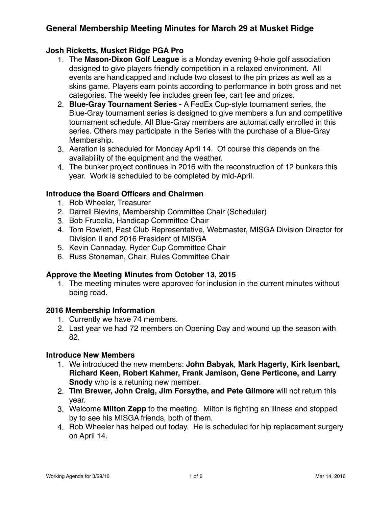### **Josh Ricketts, Musket Ridge PGA Pro**

- 1. The **Mason-Dixon Golf League** is a Monday evening 9-hole golf association designed to give players friendly competition in a relaxed environment. All events are handicapped and include two closest to the pin prizes as well as a skins game. Players earn points according to performance in both gross and net categories. The weekly fee includes green fee, cart fee and prizes.
- 2. **Blue-Gray Tournament Series** A FedEx Cup-style tournament series, the Blue-Gray tournament series is designed to give members a fun and competitive tournament schedule. All Blue-Gray members are automatically enrolled in this series. Others may participate in the Series with the purchase of a Blue-Gray Membership.
- 3. Aeration is scheduled for Monday April 14. Of course this depends on the availability of the equipment and the weather.
- 4. The bunker project continues in 2016 with the reconstruction of 12 bunkers this year. Work is scheduled to be completed by mid-April.

### **Introduce the Board Officers and Chairmen**

- 1. Rob Wheeler, Treasurer
- 2. Darrell Blevins, Membership Committee Chair (Scheduler)
- 3. Bob Frucella, Handicap Committee Chair
- 4. Tom Rowlett, Past Club Representative, Webmaster, MISGA Division Director for Division II and 2016 President of MISGA
- 5. Kevin Cannaday, Ryder Cup Committee Chair
- 6. Russ Stoneman, Chair, Rules Committee Chair

### **Approve the Meeting Minutes from October 13, 2015**

1. The meeting minutes were approved for inclusion in the current minutes without being read.

### **2016 Membership Information**

- 1. Currently we have 74 members.
- 2. Last year we had 72 members on Opening Day and wound up the season with 82.

#### **Introduce New Members**

- 1. We introduced the new members: **John Babyak**, **Mark Hagerty**, **Kirk Isenbart, Richard Keen, Robert Kahmer, Frank Jamison, Gene Perticone, and Larry Snody** who is a retuning new member.
- 2. **Tim Brewer, John Craig, Jim Forsythe, and Pete Gilmore** will not return this year.
- 3. Welcome **Milton Zepp** to the meeting. Milton is fighting an illness and stopped by to see his MISGA friends, both of them.
- 4. Rob Wheeler has helped out today. He is scheduled for hip replacement surgery on April 14.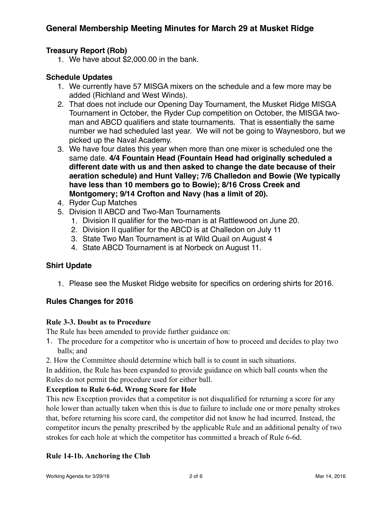### **Treasury Report (Rob)**

1. We have about \$2,000.00 in the bank.

### **Schedule Updates**

- 1. We currently have 57 MISGA mixers on the schedule and a few more may be added (Richland and West Winds).
- 2. That does not include our Opening Day Tournament, the Musket Ridge MISGA Tournament in October, the Ryder Cup competition on October, the MISGA twoman and ABCD qualifiers and state tournaments. That is essentially the same number we had scheduled last year. We will not be going to Waynesboro, but we picked up the Naval Academy.
- 3. We have four dates this year when more than one mixer is scheduled one the same date. **4/4 Fountain Head (Fountain Head had originally scheduled a different date with us and then asked to change the date because of their aeration schedule) and Hunt Valley; 7/6 Challedon and Bowie (We typically have less than 10 members go to Bowie); 8/16 Cross Creek and Montgomery; 9/14 Crofton and Navy (has a limit of 20).**
- 4. Ryder Cup Matches
- 5. Division II ABCD and Two-Man Tournaments
	- 1. Division II qualifier for the two-man is at Rattlewood on June 20.
	- 2. Division II qualifier for the ABCD is at Challedon on July 11
	- 3. State Two Man Tournament is at Wild Quail on August 4
	- 4. State ABCD Tournament is at Norbeck on August 11.

### **Shirt Update**

1. Please see the Musket Ridge website for specifics on ordering shirts for 2016.

### **Rules Changes for 2016**

### **Rule 3-3. Doubt as to Procedure**

The Rule has been amended to provide further guidance on:

- 1. The procedure for a competitor who is uncertain of how to proceed and decides to play two balls; and
- 2. How the Committee should determine which ball is to count in such situations.

In addition, the Rule has been expanded to provide guidance on which ball counts when the Rules do not permit the procedure used for either ball.

### **Exception to Rule 6-6d. Wrong Score for Hole**

This new Exception provides that a competitor is not disqualified for returning a score for any hole lower than actually taken when this is due to failure to include one or more penalty strokes that, before returning his score card, the competitor did not know he had incurred. Instead, the competitor incurs the penalty prescribed by the applicable Rule and an additional penalty of two strokes for each hole at which the competitor has committed a breach of Rule 6-6d.

### **Rule 14-1b. Anchoring the Club**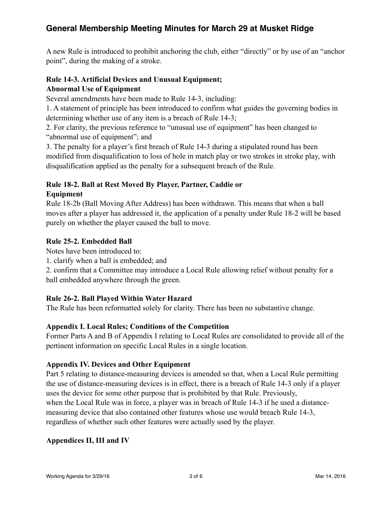A new Rule is introduced to prohibit anchoring the club, either "directly" or by use of an "anchor point", during the making of a stroke.

## **Rule 14-3. Artificial Devices and Unusual Equipment; Abnormal Use of Equipment**

Several amendments have been made to Rule 14-3, including:

1. A statement of principle has been introduced to confirm what guides the governing bodies in determining whether use of any item is a breach of Rule 14-3;

2. For clarity, the previous reference to "unusual use of equipment" has been changed to "abnormal use of equipment"; and

3. The penalty for a player's first breach of Rule 14-3 during a stipulated round has been modified from disqualification to loss of hole in match play or two strokes in stroke play, with disqualification applied as the penalty for a subsequent breach of the Rule.

### **Rule 18-2. Ball at Rest Moved By Player, Partner, Caddie or Equipment**

Rule 18-2b (Ball Moving After Address) has been withdrawn. This means that when a ball moves after a player has addressed it, the application of a penalty under Rule 18-2 will be based purely on whether the player caused the ball to move.

## **Rule 25-2. Embedded Ball**

Notes have been introduced to:

1. clarify when a ball is embedded; and

2. confirm that a Committee may introduce a Local Rule allowing relief without penalty for a ball embedded anywhere through the green.

## **Rule 26-2. Ball Played Within Water Hazard**

The Rule has been reformatted solely for clarity. There has been no substantive change.

## **Appendix I. Local Rules; Conditions of the Competition**

Former Parts A and B of Appendix I relating to Local Rules are consolidated to provide all of the pertinent information on specific Local Rules in a single location.

## **Appendix IV. Devices and Other Equipment**

Part 5 relating to distance-measuring devices is amended so that, when a Local Rule permitting the use of distance-measuring devices is in effect, there is a breach of Rule 14-3 only if a player uses the device for some other purpose that is prohibited by that Rule. Previously, when the Local Rule was in force, a player was in breach of Rule 14-3 if he used a distancemeasuring device that also contained other features whose use would breach Rule 14-3, regardless of whether such other features were actually used by the player.

## **Appendices II, III and IV**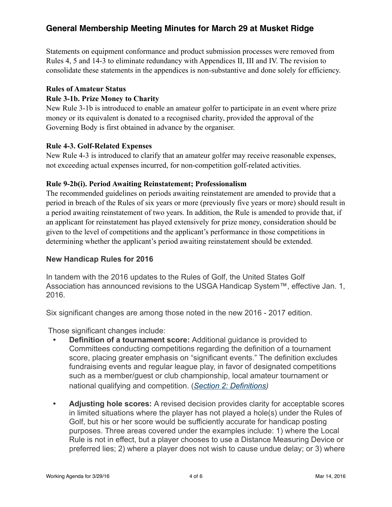Statements on equipment conformance and product submission processes were removed from Rules 4, 5 and 14-3 to eliminate redundancy with Appendices II, III and IV. The revision to consolidate these statements in the appendices is non-substantive and done solely for efficiency.

#### **Rules of Amateur Status**

### **Rule 3-1b. Prize Money to Charity**

New Rule 3-1b is introduced to enable an amateur golfer to participate in an event where prize money or its equivalent is donated to a recognised charity, provided the approval of the Governing Body is first obtained in advance by the organiser.

### **Rule 4-3. Golf-Related Expenses**

New Rule 4-3 is introduced to clarify that an amateur golfer may receive reasonable expenses, not exceeding actual expenses incurred, for non-competition golf-related activities.

#### **Rule 9-2b(i). Period Awaiting Reinstatement; Professionalism**

The recommended guidelines on periods awaiting reinstatement are amended to provide that a period in breach of the Rules of six years or more (previously five years or more) should result in a period awaiting reinstatement of two years. In addition, the Rule is amended to provide that, if an applicant for reinstatement has played extensively for prize money, consideration should be given to the level of competitions and the applicant's performance in those competitions in determining whether the applicant's period awaiting reinstatement should be extended.

### **New Handicap Rules for 2016**

In tandem with the 2016 updates to the Rules of Golf, the United States Golf Association has announced revisions to the USGA Handicap System™, effective Jan. 1, 2016.

Six significant changes are among those noted in the new 2016 - 2017 edition.

Those significant changes include:

- **Definition of a tournament score:** Additional guidance is provided to Committees conducting competitions regarding the definition of a tournament score, placing greater emphasis on "significant events." The definition excludes fundraising events and regular league play, in favor of designated competitions such as a member/guest or club championship, local amateur tournament or national qualifying and competition. (*[Section 2: Definitions\)](http://www.usga.org/Handicapping/handicap-manual.html%2523!rule-14370)*
- **Adjusting hole scores:** A revised decision provides clarity for acceptable scores in limited situations where the player has not played a hole(s) under the Rules of Golf, but his or her score would be sufficiently accurate for handicap posting purposes. Three areas covered under the examples include: 1) where the Local Rule is not in effect, but a player chooses to use a Distance Measuring Device or preferred lies; 2) where a player does not wish to cause undue delay; or 3) where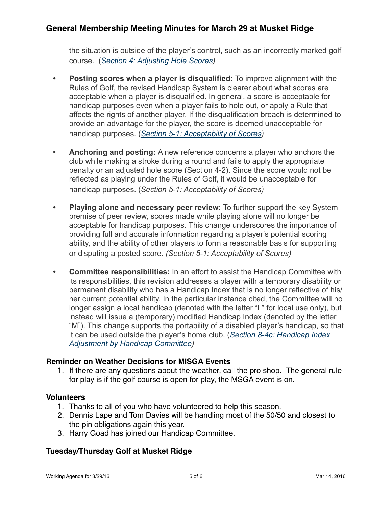the situation is outside of the player's control, such as an incorrectly marked golf course. (*[Section 4: Adjusting Hole Scores](http://www.usga.org/Handicapping/handicap-manual.html%2523!rule-14377))*

- **Posting scores when a player is disqualified:** To improve alignment with the Rules of Golf, the revised Handicap System is clearer about what scores are acceptable when a player is disqualified. In general, a score is acceptable for handicap purposes even when a player fails to hole out, or apply a Rule that affects the rights of another player. If the disqualification breach is determined to provide an advantage for the player, the score is deemed unacceptable for handicap purposes. (*[Section 5-1: Acceptability of Scores](http://www.usga.org/Handicapping/handicap-manual.html%2523!rule-14379))*
- **Anchoring and posting:** A new reference concerns a player who anchors the club while making a stroke during a round and fails to apply the appropriate penalty or an adjusted hole score (Section 4-2). Since the score would not be reflected as playing under the Rules of Golf, it would be unacceptable for handicap purposes. (*Section 5-1: Acceptability of Scores)*
- **Playing alone and necessary peer review:** To further support the key System premise of peer review, scores made while playing alone will no longer be acceptable for handicap purposes. This change underscores the importance of providing full and accurate information regarding a player's potential scoring ability, and the ability of other players to form a reasonable basis for supporting or disputing a posted score. *(Section 5-1: Acceptability of Scores)*
- **Committee responsibilities:** In an effort to assist the Handicap Committee with its responsibilities, this revision addresses a player with a temporary disability or permanent disability who has a Handicap Index that is no longer reflective of his/ her current potential ability. In the particular instance cited, the Committee will no longer assign a local handicap (denoted with the letter "L" for local use only), but instead will issue a (temporary) modified Handicap Index (denoted by the letter "M"). This change supports the portability of a disabled player's handicap, so that [it can be used outside the player's home club. \(](http://www.usga.org/Handicapping/handicap-manual.html%2523!rule-14385)*Section 8-4c: Handicap Index Adjustment by Handicap Committee)*

### **Reminder on Weather Decisions for MISGA Events**

1. If there are any questions about the weather, call the pro shop. The general rule for play is if the golf course is open for play, the MSGA event is on.

### **Volunteers**

- 1. Thanks to all of you who have volunteered to help this season.
- 2. Dennis Lape and Tom Davies will be handling most of the 50/50 and closest to the pin obligations again this year.
- 3. Harry Goad has joined our Handicap Committee.

## **Tuesday/Thursday Golf at Musket Ridge**